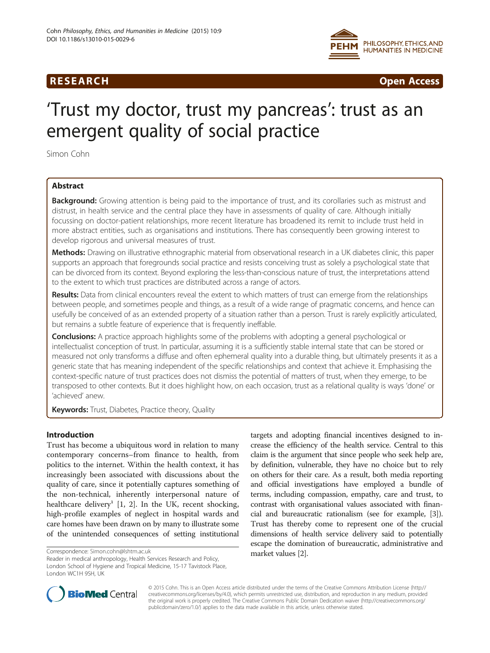

**RESEARCH RESEARCH CONSUMING ACCESS** 

# 'Trust my doctor, trust my pancreas': trust as an emergent quality of social practice

Simon Cohn

# Abstract

Background: Growing attention is being paid to the importance of trust, and its corollaries such as mistrust and distrust, in health service and the central place they have in assessments of quality of care. Although initially focussing on doctor-patient relationships, more recent literature has broadened its remit to include trust held in more abstract entities, such as organisations and institutions. There has consequently been growing interest to develop rigorous and universal measures of trust.

Methods: Drawing on illustrative ethnographic material from observational research in a UK diabetes clinic, this paper supports an approach that foregrounds social practice and resists conceiving trust as solely a psychological state that can be divorced from its context. Beyond exploring the less-than-conscious nature of trust, the interpretations attend to the extent to which trust practices are distributed across a range of actors.

Results: Data from clinical encounters reveal the extent to which matters of trust can emerge from the relationships between people, and sometimes people and things, as a result of a wide range of pragmatic concerns, and hence can usefully be conceived of as an extended property of a situation rather than a person. Trust is rarely explicitly articulated, but remains a subtle feature of experience that is frequently ineffable.

**Conclusions:** A practice approach highlights some of the problems with adopting a general psychological or intellectualist conception of trust. In particular, assuming it is a sufficiently stable internal state that can be stored or measured not only transforms a diffuse and often ephemeral quality into a durable thing, but ultimately presents it as a generic state that has meaning independent of the specific relationships and context that achieve it. Emphasising the context-specific nature of trust practices does not dismiss the potential of matters of trust, when they emerge, to be transposed to other contexts. But it does highlight how, on each occasion, trust as a relational quality is ways 'done' or 'achieved' anew.

Keywords: Trust, Diabetes, Practice theory, Quality

## Introduction

Trust has become a ubiquitous word in relation to many contemporary concerns–from finance to health, from politics to the internet. Within the health context, it has increasingly been associated with discussions about the quality of care, since it potentially captures something of the non-technical, inherently interpersonal nature of healthcare delivery<sup>1</sup> [\[1](#page-8-0), [2\]](#page-8-0). In the UK, recent shocking, high-profile examples of neglect in hospital wards and care homes have been drawn on by many to illustrate some of the unintended consequences of setting institutional

Reader in medical anthropology, Health Services Research and Policy, London School of Hygiene and Tropical Medicine, 15-17 Tavistock Place, London WC1H 9SH, UK

targets and adopting financial incentives designed to increase the efficiency of the health service. Central to this claim is the argument that since people who seek help are, by definition, vulnerable, they have no choice but to rely on others for their care. As a result, both media reporting and official investigations have employed a bundle of terms, including compassion, empathy, care and trust, to contrast with organisational values associated with financial and bureaucratic rationalism (see for example, [[3](#page-8-0)]). Trust has thereby come to represent one of the crucial dimensions of health service delivery said to potentially escape the domination of bureaucratic, administrative and



© 2015 Cohn. This is an Open Access article distributed under the terms of the Creative Commons Attribution License [\(http://](http://creativecommons.org/licenses/by/4.0) [creativecommons.org/licenses/by/4.0](http://creativecommons.org/licenses/by/4.0)), which permits unrestricted use, distribution, and reproduction in any medium, provided the original work is properly credited. The Creative Commons Public Domain Dedication waiver ([http://creativecommons.org/](http://creativecommons.org/publicdomain/zero/1.0/) [publicdomain/zero/1.0/\)](http://creativecommons.org/publicdomain/zero/1.0/) applies to the data made available in this article, unless otherwise stated.

market values [\[2\]](#page-8-0). Correspondence: [Simon.cohn@lshtm.ac.uk](mailto:Simon.cohn@lshtm.ac.uk)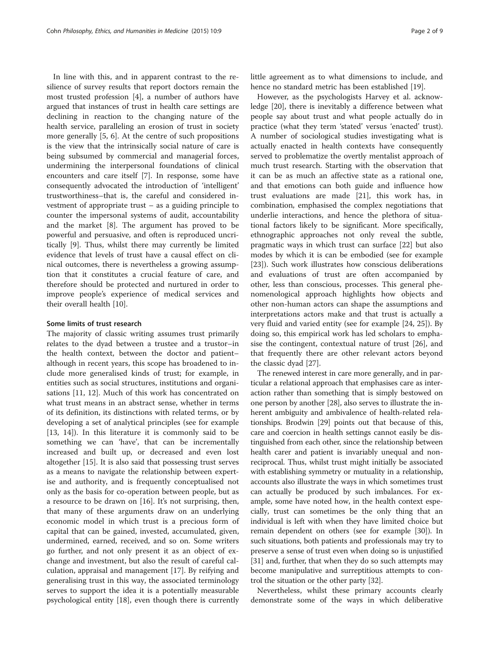In line with this, and in apparent contrast to the resilience of survey results that report doctors remain the most trusted profession [\[4](#page-8-0)], a number of authors have argued that instances of trust in health care settings are declining in reaction to the changing nature of the health service, paralleling an erosion of trust in society more generally [\[5](#page-8-0), [6\]](#page-8-0). At the centre of such propositions is the view that the intrinsically social nature of care is being subsumed by commercial and managerial forces, undermining the interpersonal foundations of clinical encounters and care itself [[7\]](#page-8-0). In response, some have consequently advocated the introduction of 'intelligent' trustworthiness–that is, the careful and considered investment of appropriate trust – as a guiding principle to counter the impersonal systems of audit, accountability and the market [[8\]](#page-8-0). The argument has proved to be powerful and persuasive, and often is reproduced uncritically [\[9](#page-8-0)]. Thus, whilst there may currently be limited evidence that levels of trust have a causal effect on clinical outcomes, there is nevertheless a growing assumption that it constitutes a crucial feature of care, and therefore should be protected and nurtured in order to improve people's experience of medical services and their overall health [\[10\]](#page-8-0).

#### Some limits of trust research

The majority of classic writing assumes trust primarily relates to the dyad between a trustee and a trustor–in the health context, between the doctor and patient– although in recent years, this scope has broadened to include more generalised kinds of trust; for example, in entities such as social structures, institutions and organisations [[11](#page-8-0), [12\]](#page-8-0). Much of this work has concentrated on what trust means in an abstract sense, whether in terms of its definition, its distinctions with related terms, or by developing a set of analytical principles (see for example [[13, 14\]](#page-8-0)). In this literature it is commonly said to be something we can 'have', that can be incrementally increased and built up, or decreased and even lost altogether [[15\]](#page-8-0). It is also said that possessing trust serves as a means to navigate the relationship between expertise and authority, and is frequently conceptualised not only as the basis for co-operation between people, but as a resource to be drawn on [\[16\]](#page-8-0). It's not surprising, then, that many of these arguments draw on an underlying economic model in which trust is a precious form of capital that can be gained, invested, accumulated, given, undermined, earned, received, and so on. Some writers go further, and not only present it as an object of exchange and investment, but also the result of careful calculation, appraisal and management [[17](#page-8-0)]. By reifying and generalising trust in this way, the associated terminology serves to support the idea it is a potentially measurable psychological entity [[18\]](#page-8-0), even though there is currently little agreement as to what dimensions to include, and hence no standard metric has been established [\[19](#page-8-0)].

However, as the psychologists Harvey et al. acknowledge [[20\]](#page-8-0), there is inevitably a difference between what people say about trust and what people actually do in practice (what they term 'stated' versus 'enacted' trust). A number of sociological studies investigating what is actually enacted in health contexts have consequently served to problematize the overtly mentalist approach of much trust research. Starting with the observation that it can be as much an affective state as a rational one, and that emotions can both guide and influence how trust evaluations are made [[21\]](#page-8-0), this work has, in combination, emphasised the complex negotiations that underlie interactions, and hence the plethora of situational factors likely to be significant. More specifically, ethnographic approaches not only reveal the subtle, pragmatic ways in which trust can surface [[22\]](#page-8-0) but also modes by which it is can be embodied (see for example [[23\]](#page-8-0)). Such work illustrates how conscious deliberations and evaluations of trust are often accompanied by other, less than conscious, processes. This general phenomenological approach highlights how objects and other non-human actors can shape the assumptions and interpretations actors make and that trust is actually a very fluid and varied entity (see for example [[24, 25\]](#page-8-0)). By doing so, this empirical work has led scholars to emphasise the contingent, contextual nature of trust [[26](#page-8-0)], and that frequently there are other relevant actors beyond the classic dyad [[27\]](#page-8-0).

The renewed interest in care more generally, and in particular a relational approach that emphasises care as interaction rather than something that is simply bestowed on one person by another [[28](#page-8-0)], also serves to illustrate the inherent ambiguity and ambivalence of health-related relationships. Brodwin [\[29\]](#page-8-0) points out that because of this, care and coercion in health settings cannot easily be distinguished from each other, since the relationship between health carer and patient is invariably unequal and nonreciprocal. Thus, whilst trust might initially be associated with establishing symmetry or mutuality in a relationship, accounts also illustrate the ways in which sometimes trust can actually be produced by such imbalances. For example, some have noted how, in the health context especially, trust can sometimes be the only thing that an individual is left with when they have limited choice but remain dependent on others (see for example [\[30\]](#page-8-0)). In such situations, both patients and professionals may try to preserve a sense of trust even when doing so is unjustified [[31](#page-8-0)] and, further, that when they do so such attempts may become manipulative and surreptitious attempts to control the situation or the other party [[32](#page-8-0)].

Nevertheless, whilst these primary accounts clearly demonstrate some of the ways in which deliberative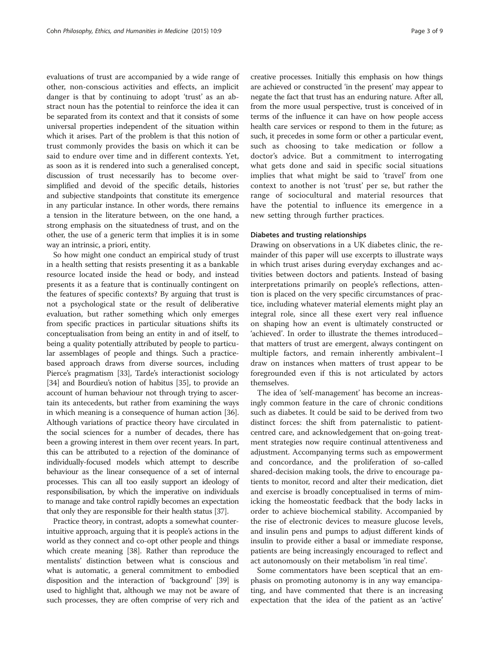evaluations of trust are accompanied by a wide range of other, non-conscious activities and effects, an implicit danger is that by continuing to adopt 'trust' as an abstract noun has the potential to reinforce the idea it can be separated from its context and that it consists of some universal properties independent of the situation within which it arises. Part of the problem is that this notion of trust commonly provides the basis on which it can be said to endure over time and in different contexts. Yet, as soon as it is rendered into such a generalised concept, discussion of trust necessarily has to become oversimplified and devoid of the specific details, histories and subjective standpoints that constitute its emergence in any particular instance. In other words, there remains a tension in the literature between, on the one hand, a strong emphasis on the situatedness of trust, and on the other, the use of a generic term that implies it is in some way an intrinsic, a priori, entity.

So how might one conduct an empirical study of trust in a health setting that resists presenting it as a bankable resource located inside the head or body, and instead presents it as a feature that is continually contingent on the features of specific contexts? By arguing that trust is not a psychological state or the result of deliberative evaluation, but rather something which only emerges from specific practices in particular situations shifts its conceptualisation from being an entity in and of itself, to being a quality potentially attributed by people to particular assemblages of people and things. Such a practicebased approach draws from diverse sources, including Pierce's pragmatism [\[33](#page-8-0)], Tarde's interactionist sociology [[34](#page-8-0)] and Bourdieu's notion of habitus [\[35\]](#page-8-0), to provide an account of human behaviour not through trying to ascertain its antecedents, but rather from examining the ways in which meaning is a consequence of human action [[36](#page-8-0)]. Although variations of practice theory have circulated in the social sciences for a number of decades, there has been a growing interest in them over recent years. In part, this can be attributed to a rejection of the dominance of individually-focused models which attempt to describe behaviour as the linear consequence of a set of internal processes. This can all too easily support an ideology of responsibilisation, by which the imperative on individuals to manage and take control rapidly becomes an expectation that only they are responsible for their health status [[37\]](#page-8-0).

Practice theory, in contrast, adopts a somewhat counterintuitive approach, arguing that it is people's actions in the world as they connect and co-opt other people and things which create meaning [\[38](#page-8-0)]. Rather than reproduce the mentalists' distinction between what is conscious and what is automatic, a general commitment to embodied disposition and the interaction of 'background' [\[39\]](#page-8-0) is used to highlight that, although we may not be aware of such processes, they are often comprise of very rich and

creative processes. Initially this emphasis on how things are achieved or constructed 'in the present' may appear to negate the fact that trust has an enduring nature. After all, from the more usual perspective, trust is conceived of in terms of the influence it can have on how people access health care services or respond to them in the future; as such, it precedes in some form or other a particular event, such as choosing to take medication or follow a doctor's advice. But a commitment to interrogating what gets done and said in specific social situations implies that what might be said to 'travel' from one context to another is not 'trust' per se, but rather the range of sociocultural and material resources that have the potential to influence its emergence in a new setting through further practices.

#### Diabetes and trusting relationships

Drawing on observations in a UK diabetes clinic, the remainder of this paper will use excerpts to illustrate ways in which trust arises during everyday exchanges and activities between doctors and patients. Instead of basing interpretations primarily on people's reflections, attention is placed on the very specific circumstances of practice, including whatever material elements might play an integral role, since all these exert very real influence on shaping how an event is ultimately constructed or 'achieved'. In order to illustrate the themes introduced– that matters of trust are emergent, always contingent on multiple factors, and remain inherently ambivalent–I draw on instances when matters of trust appear to be foregrounded even if this is not articulated by actors themselves.

The idea of 'self-management' has become an increasingly common feature in the care of chronic conditions such as diabetes. It could be said to be derived from two distinct forces: the shift from paternalistic to patientcentred care, and acknowledgement that on-going treatment strategies now require continual attentiveness and adjustment. Accompanying terms such as empowerment and concordance, and the proliferation of so-called shared-decision making tools, the drive to encourage patients to monitor, record and alter their medication, diet and exercise is broadly conceptualised in terms of mimicking the homeostatic feedback that the body lacks in order to achieve biochemical stability. Accompanied by the rise of electronic devices to measure glucose levels, and insulin pens and pumps to adjust different kinds of insulin to provide either a basal or immediate response, patients are being increasingly encouraged to reflect and act autonomously on their metabolism 'in real time'.

Some commentators have been sceptical that an emphasis on promoting autonomy is in any way emancipating, and have commented that there is an increasing expectation that the idea of the patient as an 'active'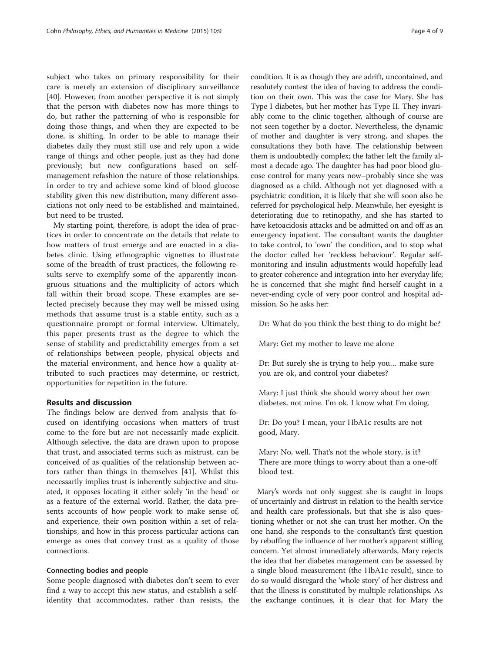subject who takes on primary responsibility for their care is merely an extension of disciplinary surveillance [[40\]](#page-8-0). However, from another perspective it is not simply that the person with diabetes now has more things to do, but rather the patterning of who is responsible for doing those things, and when they are expected to be done, is shifting. In order to be able to manage their diabetes daily they must still use and rely upon a wide range of things and other people, just as they had done previously; but new configurations based on selfmanagement refashion the nature of those relationships. In order to try and achieve some kind of blood glucose stability given this new distribution, many different associations not only need to be established and maintained, but need to be trusted.

My starting point, therefore, is adopt the idea of practices in order to concentrate on the details that relate to how matters of trust emerge and are enacted in a diabetes clinic. Using ethnographic vignettes to illustrate some of the breadth of trust practices, the following results serve to exemplify some of the apparently incongruous situations and the multiplicity of actors which fall within their broad scope. These examples are selected precisely because they may well be missed using methods that assume trust is a stable entity, such as a questionnaire prompt or formal interview. Ultimately, this paper presents trust as the degree to which the sense of stability and predictability emerges from a set of relationships between people, physical objects and the material environment, and hence how a quality attributed to such practices may determine, or restrict, opportunities for repetition in the future.

#### Results and discussion

The findings below are derived from analysis that focused on identifying occasions when matters of trust come to the fore but are not necessarily made explicit. Although selective, the data are drawn upon to propose that trust, and associated terms such as mistrust, can be conceived of as qualities of the relationship between actors rather than things in themselves [[41\]](#page-8-0). Whilst this necessarily implies trust is inherently subjective and situated, it opposes locating it either solely 'in the head' or as a feature of the external world. Rather, the data presents accounts of how people work to make sense of, and experience, their own position within a set of relationships, and how in this process particular actions can emerge as ones that convey trust as a quality of those connections.

#### Connecting bodies and people

Some people diagnosed with diabetes don't seem to ever find a way to accept this new status, and establish a selfidentity that accommodates, rather than resists, the

condition. It is as though they are adrift, uncontained, and resolutely contest the idea of having to address the condition on their own. This was the case for Mary. She has Type I diabetes, but her mother has Type II. They invariably come to the clinic together, although of course are not seen together by a doctor. Nevertheless, the dynamic of mother and daughter is very strong, and shapes the consultations they both have. The relationship between them is undoubtedly complex; the father left the family almost a decade ago. The daughter has had poor blood glucose control for many years now–probably since she was diagnosed as a child. Although not yet diagnosed with a psychiatric condition, it is likely that she will soon also be referred for psychological help. Meanwhile, her eyesight is deteriorating due to retinopathy, and she has started to have ketoacidosis attacks and be admitted on and off as an emergency inpatient. The consultant wants the daughter to take control, to 'own' the condition, and to stop what the doctor called her 'reckless behaviour'. Regular selfmonitoring and insulin adjustments would hopefully lead to greater coherence and integration into her everyday life; he is concerned that she might find herself caught in a never-ending cycle of very poor control and hospital admission. So he asks her:

Dr: What do you think the best thing to do might be?

Mary: Get my mother to leave me alone

Dr: But surely she is trying to help you… make sure you are ok, and control your diabetes?

Mary: I just think she should worry about her own diabetes, not mine. I'm ok. I know what I'm doing.

Dr: Do you? I mean, your HbA1c results are not good, Mary.

Mary: No, well. That's not the whole story, is it? There are more things to worry about than a one-off blood test.

Mary's words not only suggest she is caught in loops of uncertainly and distrust in relation to the health service and health care professionals, but that she is also questioning whether or not she can trust her mother. On the one hand, she responds to the consultant's first question by rebuffing the influence of her mother's apparent stifling concern. Yet almost immediately afterwards, Mary rejects the idea that her diabetes management can be assessed by a single blood measurement (the HbA1c result), since to do so would disregard the 'whole story' of her distress and that the illness is constituted by multiple relationships. As the exchange continues, it is clear that for Mary the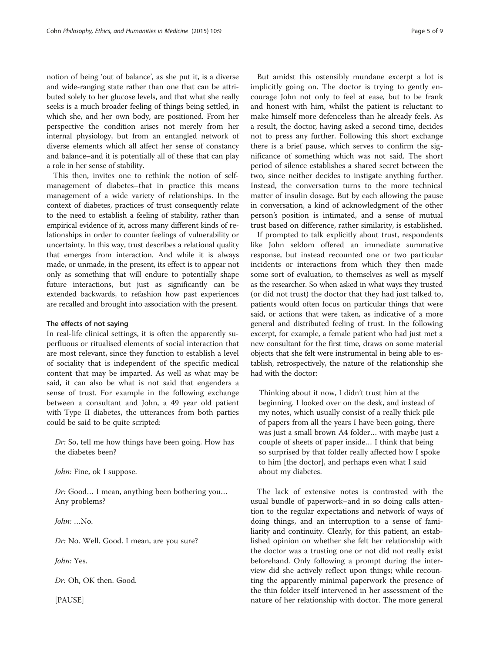notion of being 'out of balance', as she put it, is a diverse and wide-ranging state rather than one that can be attributed solely to her glucose levels, and that what she really seeks is a much broader feeling of things being settled, in which she, and her own body, are positioned. From her perspective the condition arises not merely from her internal physiology, but from an entangled network of diverse elements which all affect her sense of constancy and balance–and it is potentially all of these that can play a role in her sense of stability.

This then, invites one to rethink the notion of selfmanagement of diabetes–that in practice this means management of a wide variety of relationships. In the context of diabetes, practices of trust consequently relate to the need to establish a feeling of stability, rather than empirical evidence of it, across many different kinds of relationships in order to counter feelings of vulnerability or uncertainty. In this way, trust describes a relational quality that emerges from interaction. And while it is always made, or unmade, in the present, its effect is to appear not only as something that will endure to potentially shape future interactions, but just as significantly can be extended backwards, to refashion how past experiences are recalled and brought into association with the present.

#### The effects of not saying

In real-life clinical settings, it is often the apparently superfluous or ritualised elements of social interaction that are most relevant, since they function to establish a level of sociality that is independent of the specific medical content that may be imparted. As well as what may be said, it can also be what is not said that engenders a sense of trust. For example in the following exchange between a consultant and John, a 49 year old patient with Type II diabetes, the utterances from both parties could be said to be quite scripted:

Dr: So, tell me how things have been going. How has the diabetes been?

John: Fine, ok I suppose.

Dr: Good… I mean, anything been bothering you… Any problems?

John: …No.

Dr: No. Well. Good. I mean, are you sure?

John: Yes.

Dr: Oh, OK then. Good.

[PAUSE]

But amidst this ostensibly mundane excerpt a lot is implicitly going on. The doctor is trying to gently encourage John not only to feel at ease, but to be frank and honest with him, whilst the patient is reluctant to make himself more defenceless than he already feels. As a result, the doctor, having asked a second time, decides not to press any further. Following this short exchange there is a brief pause, which serves to confirm the significance of something which was not said. The short period of silence establishes a shared secret between the two, since neither decides to instigate anything further. Instead, the conversation turns to the more technical matter of insulin dosage. But by each allowing the pause in conversation, a kind of acknowledgment of the other person's position is intimated, and a sense of mutual trust based on difference, rather similarity, is established.

If prompted to talk explicitly about trust, respondents like John seldom offered an immediate summative response, but instead recounted one or two particular incidents or interactions from which they then made some sort of evaluation, to themselves as well as myself as the researcher. So when asked in what ways they trusted (or did not trust) the doctor that they had just talked to, patients would often focus on particular things that were said, or actions that were taken, as indicative of a more general and distributed feeling of trust. In the following excerpt, for example, a female patient who had just met a new consultant for the first time, draws on some material objects that she felt were instrumental in being able to establish, retrospectively, the nature of the relationship she had with the doctor:

Thinking about it now, I didn't trust him at the beginning. I looked over on the desk, and instead of my notes, which usually consist of a really thick pile of papers from all the years I have been going, there was just a small brown A4 folder… with maybe just a couple of sheets of paper inside… I think that being so surprised by that folder really affected how I spoke to him [the doctor], and perhaps even what I said about my diabetes.

The lack of extensive notes is contrasted with the usual bundle of paperwork–and in so doing calls attention to the regular expectations and network of ways of doing things, and an interruption to a sense of familiarity and continuity. Clearly, for this patient, an established opinion on whether she felt her relationship with the doctor was a trusting one or not did not really exist beforehand. Only following a prompt during the interview did she actively reflect upon things; while recounting the apparently minimal paperwork the presence of the thin folder itself intervened in her assessment of the nature of her relationship with doctor. The more general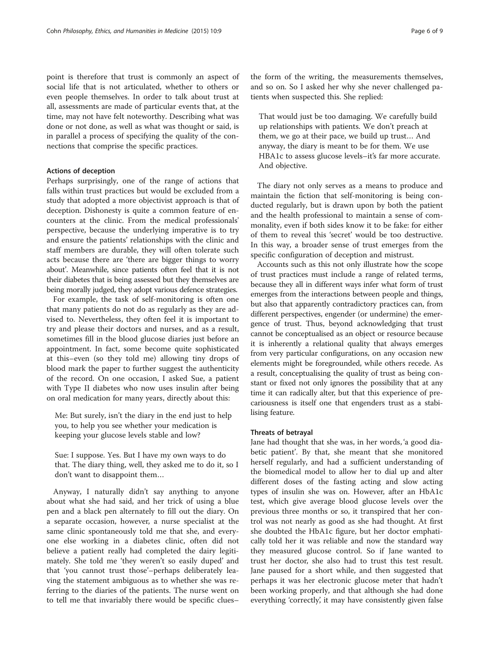point is therefore that trust is commonly an aspect of social life that is not articulated, whether to others or even people themselves. In order to talk about trust at all, assessments are made of particular events that, at the time, may not have felt noteworthy. Describing what was done or not done, as well as what was thought or said, is in parallel a process of specifying the quality of the connections that comprise the specific practices.

#### Actions of deception

Perhaps surprisingly, one of the range of actions that falls within trust practices but would be excluded from a study that adopted a more objectivist approach is that of deception. Dishonesty is quite a common feature of encounters at the clinic. From the medical professionals' perspective, because the underlying imperative is to try and ensure the patients' relationships with the clinic and staff members are durable, they will often tolerate such acts because there are 'there are bigger things to worry about'. Meanwhile, since patients often feel that it is not their diabetes that is being assessed but they themselves are being morally judged, they adopt various defence strategies.

For example, the task of self-monitoring is often one that many patients do not do as regularly as they are advised to. Nevertheless, they often feel it is important to try and please their doctors and nurses, and as a result, sometimes fill in the blood glucose diaries just before an appointment. In fact, some become quite sophisticated at this–even (so they told me) allowing tiny drops of blood mark the paper to further suggest the authenticity of the record. On one occasion, I asked Sue, a patient with Type II diabetes who now uses insulin after being on oral medication for many years, directly about this:

Me: But surely, isn't the diary in the end just to help you, to help you see whether your medication is keeping your glucose levels stable and low?

Sue: I suppose. Yes. But I have my own ways to do that. The diary thing, well, they asked me to do it, so I don't want to disappoint them…

Anyway, I naturally didn't say anything to anyone about what she had said, and her trick of using a blue pen and a black pen alternately to fill out the diary. On a separate occasion, however, a nurse specialist at the same clinic spontaneously told me that she, and everyone else working in a diabetes clinic, often did not believe a patient really had completed the dairy legitimately. She told me 'they weren't so easily duped' and that 'you cannot trust those'–perhaps deliberately leaving the statement ambiguous as to whether she was referring to the diaries of the patients. The nurse went on to tell me that invariably there would be specific clues–

the form of the writing, the measurements themselves, and so on. So I asked her why she never challenged patients when suspected this. She replied:

That would just be too damaging. We carefully build up relationships with patients. We don't preach at them, we go at their pace, we build up trust… And anyway, the diary is meant to be for them. We use HBA1c to assess glucose levels–it's far more accurate. And objective.

The diary not only serves as a means to produce and maintain the fiction that self-monitoring is being conducted regularly, but is drawn upon by both the patient and the health professional to maintain a sense of commonality, even if both sides know it to be fake: for either of them to reveal this 'secret' would be too destructive. In this way, a broader sense of trust emerges from the specific configuration of deception and mistrust.

Accounts such as this not only illustrate how the scope of trust practices must include a range of related terms, because they all in different ways infer what form of trust emerges from the interactions between people and things, but also that apparently contradictory practices can, from different perspectives, engender (or undermine) the emergence of trust. Thus, beyond acknowledging that trust cannot be conceptualised as an object or resource because it is inherently a relational quality that always emerges from very particular configurations, on any occasion new elements might be foregrounded, while others recede. As a result, conceptualising the quality of trust as being constant or fixed not only ignores the possibility that at any time it can radically alter, but that this experience of precariousness is itself one that engenders trust as a stabilising feature.

#### Threats of betrayal

Jane had thought that she was, in her words, 'a good diabetic patient'. By that, she meant that she monitored herself regularly, and had a sufficient understanding of the biomedical model to allow her to dial up and alter different doses of the fasting acting and slow acting types of insulin she was on. However, after an HbA1c test, which give average blood glucose levels over the previous three months or so, it transpired that her control was not nearly as good as she had thought. At first she doubted the HbA1c figure, but her doctor emphatically told her it was reliable and now the standard way they measured glucose control. So if Jane wanted to trust her doctor, she also had to trust this test result. Jane paused for a short while, and then suggested that perhaps it was her electronic glucose meter that hadn't been working properly, and that although she had done everything 'correctly', it may have consistently given false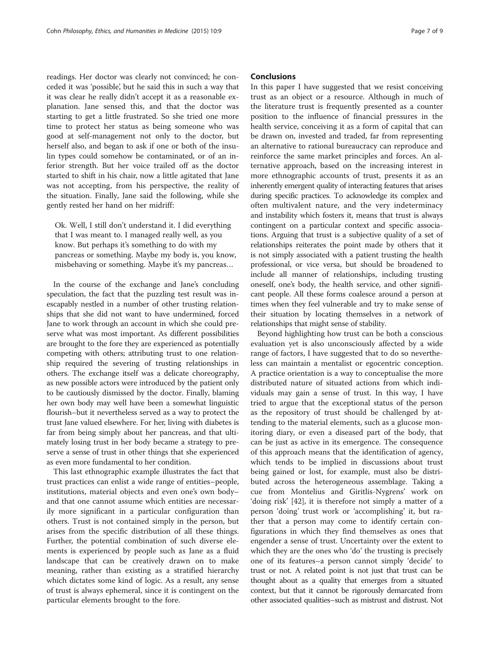readings. Her doctor was clearly not convinced; he conceded it was 'possible', but he said this in such a way that it was clear he really didn't accept it as a reasonable explanation. Jane sensed this, and that the doctor was starting to get a little frustrated. So she tried one more time to protect her status as being someone who was good at self-management not only to the doctor, but herself also, and began to ask if one or both of the insulin types could somehow be contaminated, or of an inferior strength. But her voice trailed off as the doctor started to shift in his chair, now a little agitated that Jane was not accepting, from his perspective, the reality of the situation. Finally, Jane said the following, while she gently rested her hand on her midriff:

Ok. Well, I still don't understand it. I did everything that I was meant to. I managed really well, as you know. But perhaps it's something to do with my pancreas or something. Maybe my body is, you know, misbehaving or something. Maybe it's my pancreas…

In the course of the exchange and Jane's concluding speculation, the fact that the puzzling test result was inescapably nestled in a number of other trusting relationships that she did not want to have undermined, forced Jane to work through an account in which she could preserve what was most important. As different possibilities are brought to the fore they are experienced as potentially competing with others; attributing trust to one relationship required the severing of trusting relationships in others. The exchange itself was a delicate choreography, as new possible actors were introduced by the patient only to be cautiously dismissed by the doctor. Finally, blaming her own body may well have been a somewhat linguistic flourish–but it nevertheless served as a way to protect the trust Jane valued elsewhere. For her, living with diabetes is far from being simply about her pancreas, and that ultimately losing trust in her body became a strategy to preserve a sense of trust in other things that she experienced as even more fundamental to her condition.

This last ethnographic example illustrates the fact that trust practices can enlist a wide range of entities–people, institutions, material objects and even one's own body– and that one cannot assume which entities are necessarily more significant in a particular configuration than others. Trust is not contained simply in the person, but arises from the specific distribution of all these things. Further, the potential combination of such diverse elements is experienced by people such as Jane as a fluid landscape that can be creatively drawn on to make meaning, rather than existing as a stratified hierarchy which dictates some kind of logic. As a result, any sense of trust is always ephemeral, since it is contingent on the particular elements brought to the fore.

#### Conclusions

In this paper I have suggested that we resist conceiving trust as an object or a resource. Although in much of the literature trust is frequently presented as a counter position to the influence of financial pressures in the health service, conceiving it as a form of capital that can be drawn on, invested and traded, far from representing an alternative to rational bureaucracy can reproduce and reinforce the same market principles and forces. An alternative approach, based on the increasing interest in more ethnographic accounts of trust, presents it as an inherently emergent quality of interacting features that arises during specific practices. To acknowledge its complex and often multivalent nature, and the very indeterminacy and instability which fosters it, means that trust is always contingent on a particular context and specific associations. Arguing that trust is a subjective quality of a set of relationships reiterates the point made by others that it is not simply associated with a patient trusting the health professional, or vice versa, but should be broadened to include all manner of relationships, including trusting oneself, one's body, the health service, and other significant people. All these forms coalesce around a person at times when they feel vulnerable and try to make sense of their situation by locating themselves in a network of relationships that might sense of stability.

Beyond highlighting how trust can be both a conscious evaluation yet is also unconsciously affected by a wide range of factors, I have suggested that to do so nevertheless can maintain a mentalist or egocentric conception. A practice orientation is a way to conceptualise the more distributed nature of situated actions from which individuals may gain a sense of trust. In this way, I have tried to argue that the exceptional status of the person as the repository of trust should be challenged by attending to the material elements, such as a glucose monitoring diary, or even a diseased part of the body, that can be just as active in its emergence. The consequence of this approach means that the identification of agency, which tends to be implied in discussions about trust being gained or lost, for example, must also be distributed across the heterogeneous assemblage. Taking a cue from Montelius and Giritlis-Nygrens' work on 'doing risk' [\[42\]](#page-8-0), it is therefore not simply a matter of a person 'doing' trust work or 'accomplishing' it, but rather that a person may come to identify certain configurations in which they find themselves as ones that engender a sense of trust. Uncertainty over the extent to which they are the ones who 'do' the trusting is precisely one of its features–a person cannot simply 'decide' to trust or not. A related point is not just that trust can be thought about as a quality that emerges from a situated context, but that it cannot be rigorously demarcated from other associated qualities–such as mistrust and distrust. Not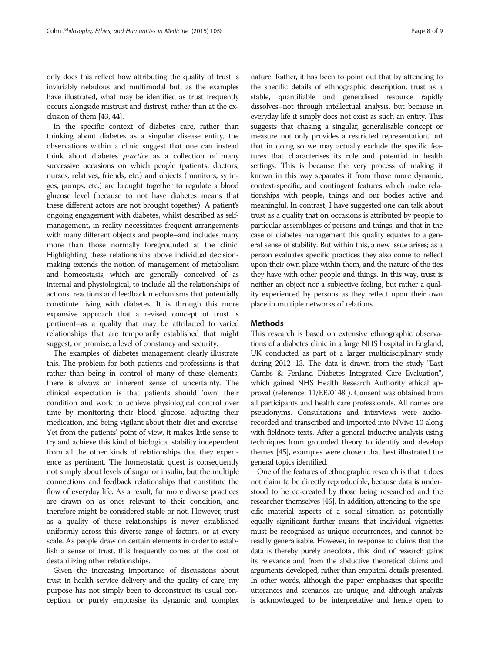only does this reflect how attributing the quality of trust is invariably nebulous and multimodal but, as the examples have illustrated, what may be identified as trust frequently occurs alongside mistrust and distrust, rather than at the exclusion of them [[43, 44\]](#page-8-0).

In the specific context of diabetes care, rather than thinking about diabetes as a singular disease entity, the observations within a clinic suggest that one can instead think about diabetes practice as a collection of many successive occasions on which people (patients, doctors, nurses, relatives, friends, etc.) and objects (monitors, syringes, pumps, etc.) are brought together to regulate a blood glucose level (because to not have diabetes means that these different actors are not brought together). A patient's ongoing engagement with diabetes, whilst described as selfmanagement, in reality necessitates frequent arrangements with many different objects and people–and includes many more than those normally foregrounded at the clinic. Highlighting these relationships above individual decisionmaking extends the notion of management of metabolism and homeostasis, which are generally conceived of as internal and physiological, to include all the relationships of actions, reactions and feedback mechanisms that potentially constitute living with diabetes. It is through this more expansive approach that a revised concept of trust is pertinent–as a quality that may be attributed to varied relationships that are temporarily established that might suggest, or promise, a level of constancy and security.

The examples of diabetes management clearly illustrate this. The problem for both patients and professions is that rather than being in control of many of these elements, there is always an inherent sense of uncertainty. The clinical expectation is that patients should 'own' their condition and work to achieve physiological control over time by monitoring their blood glucose, adjusting their medication, and being vigilant about their diet and exercise. Yet from the patients' point of view, it makes little sense to try and achieve this kind of biological stability independent from all the other kinds of relationships that they experience as pertinent. The homeostatic quest is consequently not simply about levels of sugar or insulin, but the multiple connections and feedback relationships that constitute the flow of everyday life. As a result, far more diverse practices are drawn on as ones relevant to their condition, and therefore might be considered stable or not. However, trust as a quality of those relationships is never established uniformly across this diverse range of factors, or at every scale. As people draw on certain elements in order to establish a sense of trust, this frequently comes at the cost of destabilizing other relationships.

Given the increasing importance of discussions about trust in health service delivery and the quality of care, my purpose has not simply been to deconstruct its usual conception, or purely emphasise its dynamic and complex nature. Rather, it has been to point out that by attending to the specific details of ethnographic description, trust as a stable, quantifiable and generalised resource rapidly dissolves–not through intellectual analysis, but because in everyday life it simply does not exist as such an entity. This suggests that chasing a singular, generalisable concept or measure not only provides a restricted representation, but that in doing so we may actually exclude the specific features that characterises its role and potential in health settings. This is because the very process of making it known in this way separates it from those more dynamic, context-specific, and contingent features which make relationships with people, things and our bodies active and meaningful. In contrast, I have suggested one can talk about trust as a quality that on occasions is attributed by people to particular assemblages of persons and things, and that in the case of diabetes management this quality equates to a general sense of stability. But within this, a new issue arises; as a person evaluates specific practices they also come to reflect upon their own place within them, and the nature of the ties they have with other people and things. In this way, trust is neither an object nor a subjective feeling, but rather a quality experienced by persons as they reflect upon their own place in multiple networks of relations.

### **Methods**

This research is based on extensive ethnographic observations of a diabetes clinic in a large NHS hospital in England, UK conducted as part of a larger multidisciplinary study during 2012–13. The data is drawn from the study "East Cambs & Fenland Diabetes Integrated Care Evaluation", which gained NHS Health Research Authority ethical approval (reference: 11/EE/0148 ). Consent was obtained from all participants and health care professionals. All names are pseudonyms. Consultations and interviews were audiorecorded and transcribed and imported into NVivo 10 along with fieldnote texts. After a general inductive analysis using techniques from grounded theory to identify and develop themes [[45](#page-8-0)], examples were chosen that best illustrated the general topics identified.

One of the features of ethnographic research is that it does not claim to be directly reproducible, because data is understood to be co-created by those being researched and the researcher themselves [[46\]](#page-8-0). In addition, attending to the specific material aspects of a social situation as potentially equally significant further means that individual vignettes must be recognised as unique occurrences, and cannot be readily generalisable. However, in response to claims that the data is thereby purely anecdotal, this kind of research gains its relevance and from the abductive theoretical claims and arguments developed, rather than empirical details presented. In other words, although the paper emphasises that specific utterances and scenarios are unique, and although analysis is acknowledged to be interpretative and hence open to